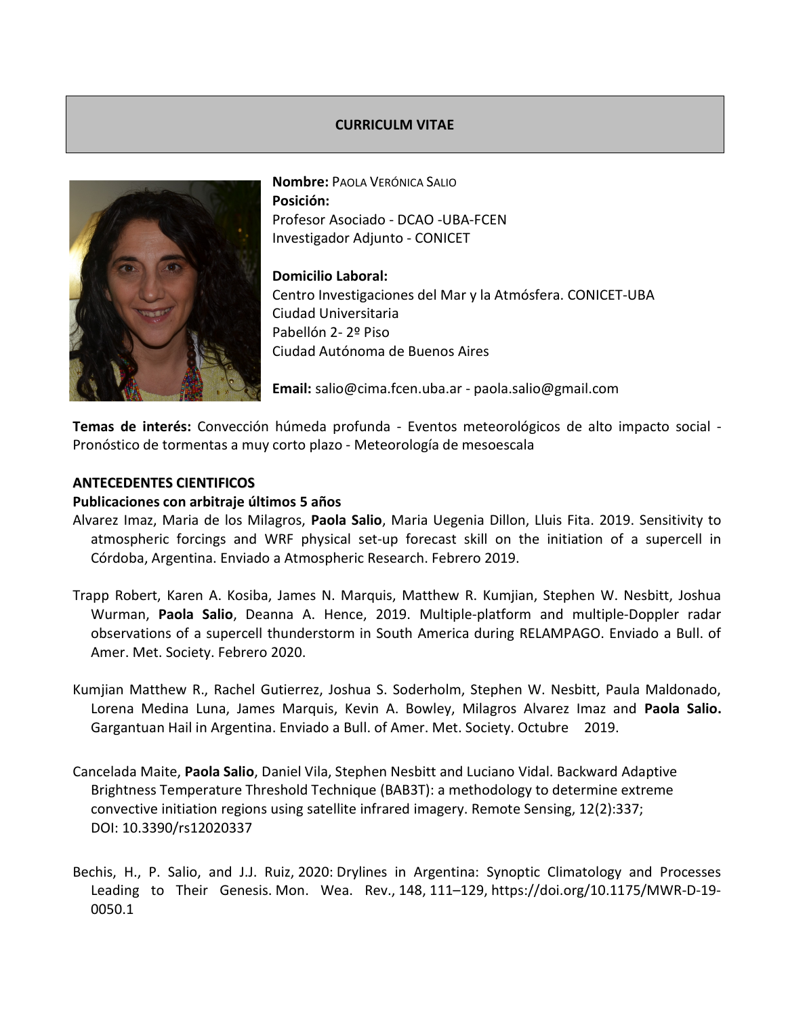## CURRICULM VITAE



Nombre: PAOLA VERÓNICA SALIO Posición: Profesor Asociado - DCAO -UBA-FCEN Investigador Adjunto - CONICET

## Domicilio Laboral:

Centro Investigaciones del Mar y la Atmósfera. CONICET-UBA Ciudad Universitaria Pabellón 2- 2º Piso Ciudad Autónoma de Buenos Aires

Email: salio@cima.fcen.uba.ar - paola.salio@gmail.com

Temas de interés: Convección húmeda profunda - Eventos meteorológicos de alto impacto social - Pronóstico de tormentas a muy corto plazo - Meteorología de mesoescala

## ANTECEDENTES CIENTIFICOS

## Publicaciones con arbitraje últimos 5 años

- Alvarez Imaz, Maria de los Milagros, Paola Salio, Maria Uegenia Dillon, Lluis Fita. 2019. Sensitivity to atmospheric forcings and WRF physical set-up forecast skill on the initiation of a supercell in Córdoba, Argentina. Enviado a Atmospheric Research. Febrero 2019.
- Trapp Robert, Karen A. Kosiba, James N. Marquis, Matthew R. Kumjian, Stephen W. Nesbitt, Joshua Wurman, Paola Salio, Deanna A. Hence, 2019. Multiple-platform and multiple-Doppler radar observations of a supercell thunderstorm in South America during RELAMPAGO. Enviado a Bull. of Amer. Met. Society. Febrero 2020.
- Kumjian Matthew R., Rachel Gutierrez, Joshua S. Soderholm, Stephen W. Nesbitt, Paula Maldonado, Lorena Medina Luna, James Marquis, Kevin A. Bowley, Milagros Alvarez Imaz and Paola Salio. Gargantuan Hail in Argentina. Enviado a Bull. of Amer. Met. Society. Octubre 2019.
- Cancelada Maite, Paola Salio, Daniel Vila, Stephen Nesbitt and Luciano Vidal. Backward Adaptive Brightness Temperature Threshold Technique (BAB3T): a methodology to determine extreme convective initiation regions using satellite infrared imagery. Remote Sensing, 12(2):337; DOI: 10.3390/rs12020337
- Bechis, H., P. Salio, and J.J. Ruiz, 2020: Drylines in Argentina: Synoptic Climatology and Processes Leading to Their Genesis. Mon. Wea. Rev., 148, 111–129, https://doi.org/10.1175/MWR-D-19- 0050.1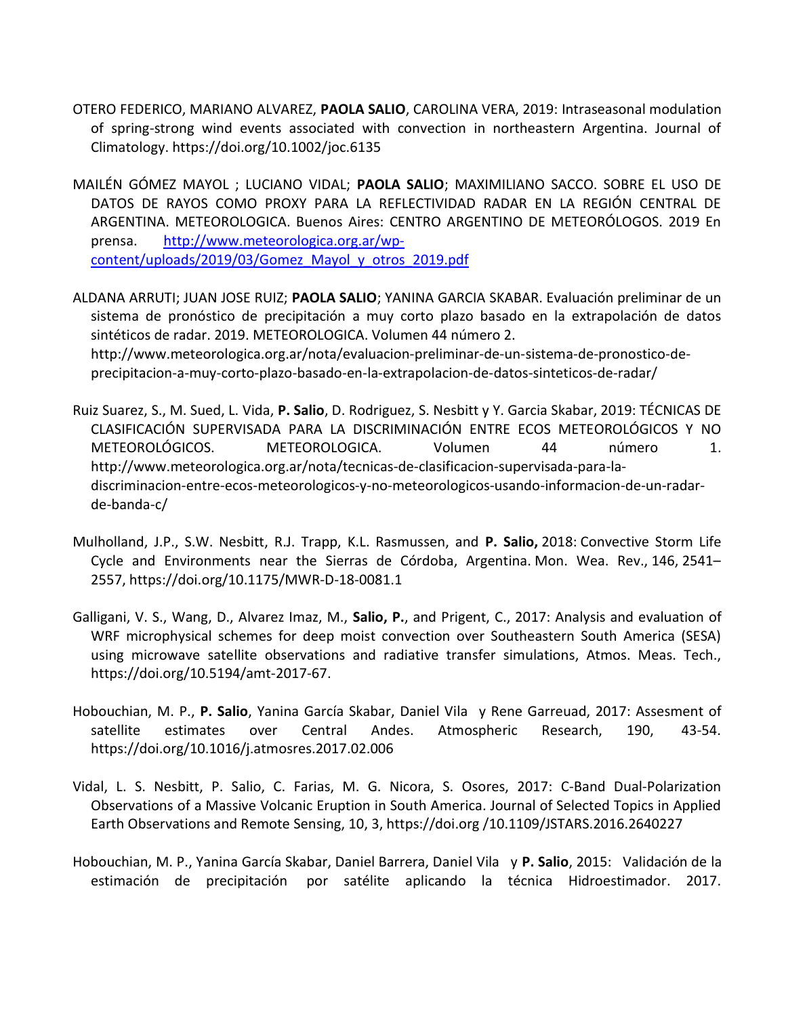- OTERO FEDERICO, MARIANO ALVAREZ, PAOLA SALIO, CAROLINA VERA, 2019: Intraseasonal modulation of spring-strong wind events associated with convection in northeastern Argentina. Journal of Climatology. https://doi.org/10.1002/joc.6135
- MAILÉN GÓMEZ MAYOL ; LUCIANO VIDAL; PAOLA SALIO; MAXIMILIANO SACCO. SOBRE EL USO DE DATOS DE RAYOS COMO PROXY PARA LA REFLECTIVIDAD RADAR EN LA REGIÓN CENTRAL DE ARGENTINA. METEOROLOGICA. Buenos Aires: CENTRO ARGENTINO DE METEORÓLOGOS. 2019 En prensa. http://www.meteorologica.org.ar/wpcontent/uploads/2019/03/Gomez\_Mayol\_y\_otros\_2019.pdf
- ALDANA ARRUTI; JUAN JOSE RUIZ; PAOLA SALIO; YANINA GARCIA SKABAR. Evaluación preliminar de un sistema de pronóstico de precipitación a muy corto plazo basado en la extrapolación de datos sintéticos de radar. 2019. METEOROLOGICA. Volumen 44 número 2. http://www.meteorologica.org.ar/nota/evaluacion-preliminar-de-un-sistema-de-pronostico-deprecipitacion-a-muy-corto-plazo-basado-en-la-extrapolacion-de-datos-sinteticos-de-radar/
- Ruiz Suarez, S., M. Sued, L. Vida, P. Salio, D. Rodriguez, S. Nesbitt y Y. Garcia Skabar, 2019: TÉCNICAS DE CLASIFICACIÓN SUPERVISADA PARA LA DISCRIMINACIÓN ENTRE ECOS METEOROLÓGICOS Y NO METEOROLÓGICOS. METEOROLOGICA. Volumen 44 número 1. http://www.meteorologica.org.ar/nota/tecnicas-de-clasificacion-supervisada-para-ladiscriminacion-entre-ecos-meteorologicos-y-no-meteorologicos-usando-informacion-de-un-radarde-banda-c/
- Mulholland, J.P., S.W. Nesbitt, R.J. Trapp, K.L. Rasmussen, and P. Salio, 2018: Convective Storm Life Cycle and Environments near the Sierras de Córdoba, Argentina. Mon. Wea. Rev., 146, 2541– 2557, https://doi.org/10.1175/MWR-D-18-0081.1
- Galligani, V. S., Wang, D., Alvarez Imaz, M., Salio, P., and Prigent, C., 2017: Analysis and evaluation of WRF microphysical schemes for deep moist convection over Southeastern South America (SESA) using microwave satellite observations and radiative transfer simulations, Atmos. Meas. Tech., https://doi.org/10.5194/amt-2017-67.
- Hobouchian, M. P., P. Salio, Yanina García Skabar, Daniel Vila y Rene Garreuad, 2017: Assesment of satellite estimates over Central Andes. Atmospheric Research, 190, 43-54. https://doi.org/10.1016/j.atmosres.2017.02.006
- Vidal, L. S. Nesbitt, P. Salio, C. Farias, M. G. Nicora, S. Osores, 2017: C-Band Dual-Polarization Observations of a Massive Volcanic Eruption in South America. Journal of Selected Topics in Applied Earth Observations and Remote Sensing, 10, 3, https://doi.org /10.1109/JSTARS.2016.2640227
- Hobouchian, M. P., Yanina García Skabar, Daniel Barrera, Daniel Vila y P. Salio, 2015: Validación de la estimación de precipitación por satélite aplicando la técnica Hidroestimador. 2017.